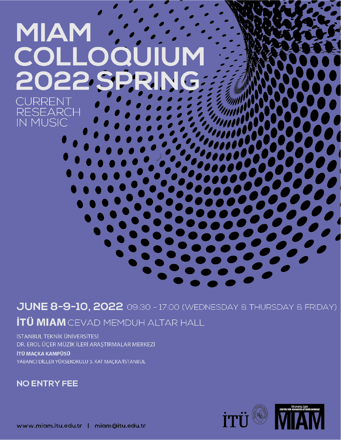

# JUNE 8-9-10, 2022 09:30 - 17:00 (WEDNESDAY & THURSDAY & FRIDAY) **İTÜ MIAM** CEVAD MEMDUH ALTAR HALL

İSTANBUL TEKNİK ÜNİVERSİTESİ DR. EROL ÜÇER MÜZİK İLERİ ARAŞTIRMALAR MERKEZİ

İTÜ MAÇKA KAMPÜSÜ YABANCI DİLLER YÜKSEKOKULU 3. KAT MAÇKA/İSTANBUL

**NO ENTRY FEE** 

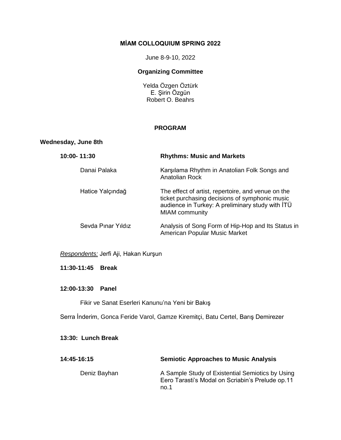#### **MİAM COLLOQUIUM SPRING 2022**

June 8-9-10, 2022

## **Organizing Committee**

Yelda Özgen Öztürk E. Şirin Özgün Robert O. Beahrs

#### **PROGRAM**

#### **Wednesday, June 8th**

| 10:00-11:30        | <b>Rhythms: Music and Markets</b>                                                                                                                                                 |
|--------------------|-----------------------------------------------------------------------------------------------------------------------------------------------------------------------------------|
| Danai Palaka       | Karşılama Rhythm in Anatolian Folk Songs and<br>Anatolian Rock                                                                                                                    |
| Hatice Yalçındağ   | The effect of artist, repertoire, and venue on the<br>ticket purchasing decisions of symphonic music<br>audience in Turkey: A preliminary study with ITÜ<br><b>MIAM</b> community |
| Sevda Pinar Yıldız | Analysis of Song Form of Hip-Hop and Its Status in<br>American Popular Music Market                                                                                               |

# *Respondents:* Jerfi Aji, Hakan Kurşun

#### **11:30-11:45 Break**

#### **12:00-13:30 Panel**

Fikir ve Sanat Eserleri Kanunu'na Yeni bir Bakış

Serra İnderim, Gonca Feride Varol, Gamze Kiremitçi, Batu Certel, Barış Demirezer

## **13:30: Lunch Break**

| 14:45-16:15  | <b>Semiotic Approaches to Music Analysis</b>                                                                 |
|--------------|--------------------------------------------------------------------------------------------------------------|
| Deniz Bayhan | A Sample Study of Existential Semiotics by Using<br>Eero Tarasti's Modal on Scriabin's Prelude op.11<br>no.1 |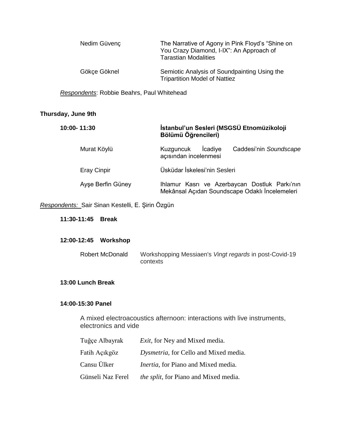| Nedim Güvenç | The Narrative of Agony in Pink Floyd's "Shine on<br>You Crazy Diamond, I-IX": An Approach of<br><b>Tarastian Modalities</b> |
|--------------|-----------------------------------------------------------------------------------------------------------------------------|
| Gökçe Göknel | Semiotic Analysis of Soundpainting Using the<br><b>Tripartition Model of Nattiez</b>                                        |

*Respondents*: Robbie Beahrs, Paul Whitehead

# **Thursday, June 9th**

| 10:00-11:30        | İstanbul'un Sesleri (MSGSÜ Etnomüzikoloji<br>Bölümü Öğrencileri)                                |
|--------------------|-------------------------------------------------------------------------------------------------|
| Murat Köylü        | Icadiye<br>Kuzguncuk<br>Caddesi'nin Soundscape<br>açısından incelenmesi                         |
| <b>Eray Cinpir</b> | Üsküdar İskelesi'nin Sesleri                                                                    |
| Ayse Berfin Güney  | Ihlamur Kasrı ve Azerbaycan Dostluk Parkı'nın<br>Mekânsal Açıdan Soundscape Odaklı İncelemeleri |

*Respondents:* Sair Sinan Kestelli, E. Şirin Özgün

**11:30-11:45 Break**

# **12:00-12:45 Workshop**

| Robert McDonald |          | Workshopping Messiaen's Vingt regards in post-Covid-19 |
|-----------------|----------|--------------------------------------------------------|
|                 | contexts |                                                        |

#### **13:00 Lunch Break**

## **14:00-15:30 Panel**

A mixed electroacoustics afternoon: interactions with live instruments, electronics and vide

| Tuğçe Albayrak    | <i>Exit</i> , for Ney and Mixed media.       |
|-------------------|----------------------------------------------|
| Fatih Açıkgöz     | Dysmetria, for Cello and Mixed media.        |
| Cansu Ülker       | <i>Inertia</i> , for Piano and Mixed media.  |
| Günseli Naz Ferel | <i>the split,</i> for Piano and Mixed media. |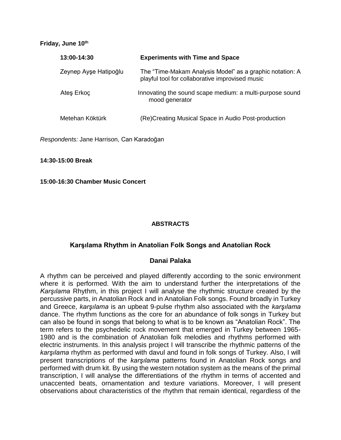#### **Friday, June 10th**

| 13:00-14:30           | <b>Experiments with Time and Space</b>                                                                      |
|-----------------------|-------------------------------------------------------------------------------------------------------------|
| Zeynep Ayşe Hatipoğlu | The "Time-Makam Analysis Model" as a graphic notation: A<br>playful tool for collaborative improvised music |
| Ates Erkoc            | Innovating the sound scape medium: a multi-purpose sound<br>mood generator                                  |
| Metehan Köktürk       | (Re)Creating Musical Space in Audio Post-production                                                         |

*Respondents:* Jane Harrison, Can Karadoğan

**14:30-15:00 Break**

**15:00-16:30 Chamber Music Concert**

#### **ABSTRACTS**

# **Karşılama Rhythm in Anatolian Folk Songs and Anatolian Rock**

# **Danai Palaka**

A rhythm can be perceived and played differently according to the sonic environment where it is performed. With the aim to understand further the interpretations of the *Karşılama* Rhythm, in this project I will analyse the rhythmic structure created by the percussive parts, in Anatolian Rock and in Anatolian Folk songs. Found broadly in Turkey and Greece, *karşılama* is an upbeat 9-pulse rhythm also associated with the *karşılama* dance. The rhythm functions as the core for an abundance of folk songs in Turkey but can also be found in songs that belong to what is to be known as "Anatolian Rock". The term refers to the psychedelic rock movement that emerged in Turkey between 1965- 1980 and is the combination of Anatolian folk melodies and rhythms performed with electric instruments. In this analysis project I will transcribe the rhythmic patterns of the *karşılama* rhythm as performed with davul and found in folk songs of Turkey. Also, I will present transcriptions of the *karşılama* patterns found in Anatolian Rock songs and performed with drum kit. By using the western notation system as the means of the primal transcription, I will analyse the differentiations of the rhythm in terms of accented and unaccented beats, ornamentation and texture variations. Moreover, I will present observations about characteristics of the rhythm that remain identical, regardless of the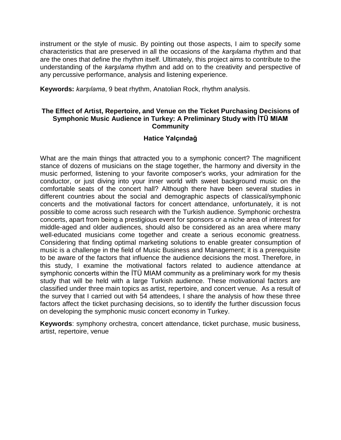instrument or the style of music. By pointing out those aspects, I aim to specify some characteristics that are preserved in all the occasions of the *karşılama* rhythm and that are the ones that define the rhythm itself. Ultimately, this project aims to contribute to the understanding of the *karşılama* rhythm and add on to the creativity and perspective of any percussive performance, analysis and listening experience.

**Keywords:** *karşılama*, 9 beat rhythm, Anatolian Rock, rhythm analysis.

# **The Effect of Artist, Repertoire, and Venue on the Ticket Purchasing Decisions of Symphonic Music Audience in Turkey: A Preliminary Study with İTÜ MIAM Community**

# **Hatice Yalçındağ**

What are the main things that attracted you to a symphonic concert? The magnificent stance of dozens of musicians on the stage together, the harmony and diversity in the music performed, listening to your favorite composer's works, your admiration for the conductor, or just diving into your inner world with sweet background music on the comfortable seats of the concert hall? Although there have been several studies in different countries about the social and demographic aspects of classical/symphonic concerts and the motivational factors for concert attendance, unfortunately, it is not possible to come across such research with the Turkish audience. Symphonic orchestra concerts, apart from being a prestigious event for sponsors or a niche area of interest for middle-aged and older audiences, should also be considered as an area where many well-educated musicians come together and create a serious economic greatness. Considering that finding optimal marketing solutions to enable greater consumption of music is a challenge in the field of Music Business and Management; it is a prerequisite to be aware of the factors that influence the audience decisions the most. Therefore, in this study, I examine the motivational factors related to audience attendance at symphonic concerts within the İTÜ MIAM community as a preliminary work for my thesis study that will be held with a large Turkish audience. These motivational factors are classified under three main topics as artist, repertoire, and concert venue. As a result of the survey that I carried out with 54 attendees, I share the analysis of how these three factors affect the ticket purchasing decisions, so to identify the further discussion focus on developing the symphonic music concert economy in Turkey.

**Keywords**: symphony orchestra, concert attendance, ticket purchase, music business, artist, repertoire, venue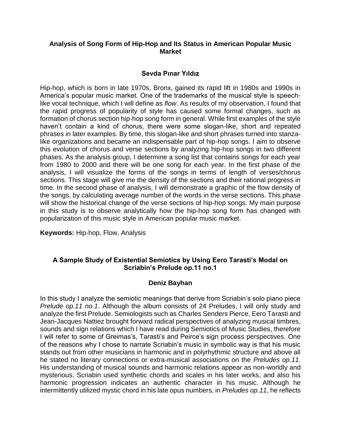# **Analysis of Song Form of Hip-Hop and Its Status in American Popular Music Market**

# **Sevda Pınar Yıldız**

Hip-hop, which is born in late 1970s, Bronx, gained its rapid lift in 1980s and 1990s in America's popular music market. One of the trademarks of the musical style is speechlike vocal technique, which I will define as *flow*. As results of my observation, I found that the rapid progress of popularity of style has caused some formal changes, such as formation of chorus section hip-hop song form in general. While first examples of the style haven't contain a kind of chorus, there were some slogan-like, short and repeated phrases in later examples. By time, this slogan-like and short phrases turned into stanzalike organizations and became an indispensable part of hip-hop songs. I aim to observe this evolution of chorus and verse sections by analyzing hip-hop songs in two different phases. As the analysis group, I determine a song list that contains songs for each year from 1980 to 2000 and there will be one song for each year. In the first phase of the analysis, I will visualize the forms of the songs in terms of length of verses/chorus sections. This stage will give me the density of the sections and their rational progress in time. In the second phase of analysis, I will demonstrate a graphic of the flow density of the songs, by calculating average number of the words in the verse sections. This phase will show the historical change of the verse sections of hip-hop songs. My main purpose in this study is to observe analytically how the hip-hop song form has changed with popularization of this music style in American popular music market.

**Keywords:** Hip-hop, Flow, Analysis

# **A Sample Study of Existential Semiotics by Using Eero Tarasti's Modal on Scriabin's Prelude op.11 no.1**

# **Deniz Bayhan**

In this study I analyze the semiotic meanings that derive from Scriabin's solo piano piece *Prelude op.11 no.1*. Although the album consists of 24 Preludes, I will only study and analyze the first Prelude. Semiologists such as Charles Senders Pierce, Eero Tarasti and Jean-Jacques Nattiez brought forward radical perspectives of analyzing musical timbres, sounds and sign relations which I have read during Semiotics of Music Studies, therefore I will refer to some of Greimas's, Tarasti's and Peirce's sign process perspectives. One of the reasons why I chose to narrate Scriabin's music in symbolic way is that his music stands out from other musicians in harmonic and in polyrhythmic structure and above all he stated no literary connections or extra-musical associations on the *Preludes op.11.* His understanding of musical sounds and harmonic relations appear as non-worldly and mysterious. Scriabin used synthetic chords and scales in his later works, and also his harmonic progression indicates an authentic character in his music. Although he intermittently utilized mystic chord in his late opus numbers, in *Preludes op.11*, he reflects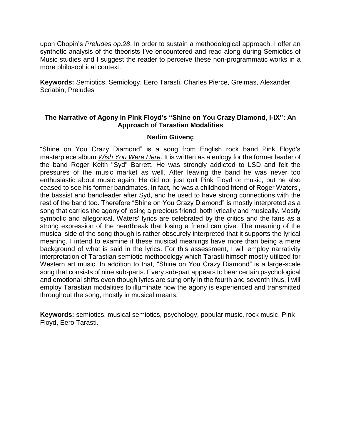upon Chopin's *Preludes op.28*. In order to sustain a methodological approach, I offer an synthetic analysis of the theorists I've encountered and read along during Semiotics of Music studies and I suggest the reader to perceive these non-programmatic works in a more philosophical context.

**Keywords:** Semiotics, Semiology, Eero Tarasti, Charles Pierce, Greimas, Alexander Scriabin, Preludes

# **The Narrative of Agony in Pink Floyd's "Shine on You Crazy Diamond, I-IX": An Approach of Tarastian Modalities**

# **Nedim Güvenç**

"Shine on You Crazy Diamond" is a song from English rock band Pink Floyd's masterpiece album *Wish You Were Here*. It is written as a eulogy for the former leader of the band Roger Keith "Syd" Barrett. He was strongly addicted to LSD and felt the pressures of the music market as well. After leaving the band he was never too enthusiastic about music again. He did not just quit Pink Floyd or music, but he also ceased to see his former bandmates. In fact, he was a childhood friend of Roger Waters', the bassist and bandleader after Syd, and he used to have strong connections with the rest of the band too. Therefore "Shine on You Crazy Diamond" is mostly interpreted as a song that carries the agony of losing a precious friend, both lyrically and musically. Mostly symbolic and allegorical, Waters' lyrics are celebrated by the critics and the fans as a strong expression of the heartbreak that losing a friend can give. The meaning of the musical side of the song though is rather obscurely interpreted that it supports the lyrical meaning. I intend to examine if these musical meanings have more than being a mere background of what is said in the lyrics. For this assessment, I will employ narrativity interpretation of Tarastian semiotic methodology which Tarasti himself mostly utilized for Western art music. In addition to that, "Shine on You Crazy Diamond" is a large-scale song that consists of nine sub-parts. Every sub-part appears to bear certain psychological and emotional shifts even though lyrics are sung only in the fourth and seventh thus, I will employ Tarastian modalities to illuminate how the agony is experienced and transmitted throughout the song, mostly in musical means.

**Keywords:** semiotics, musical semiotics, psychology, popular music, rock music, Pink Floyd, Eero Tarasti.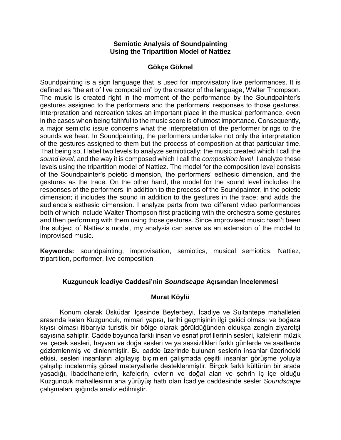#### **Semiotic Analysis of Soundpainting Using the Tripartition Model of Nattiez**

# **Gökçe Göknel**

Soundpainting is a sign language that is used for improvisatory live performances. It is defined as "the art of live composition" by the creator of the language, Walter Thompson. The music is created right in the moment of the performance by the Soundpainter's gestures assigned to the performers and the performers' responses to those gestures. Interpretation and recreation takes an important place in the musical performance, even in the cases when being faithful to the music score is of utmost importance. Consequently, a major semiotic issue concerns what the interpretation of the performer brings to the sounds we hear. In Soundpainting, the performers undertake not only the interpretation of the gestures assigned to them but the process of composition at that particular time. That being so, I label two levels to analyze semiotically: the music created which I call the *sound level,* and the way it is composed which I call the *composition level*. I analyze these levels using the tripartition model of Nattiez. The model for the composition level consists of the Soundpainter's poietic dimension, the performers' esthesic dimension, and the gestures as the trace. On the other hand, the model for the sound level includes the responses of the performers, in addition to the process of the Soundpainter, in the poietic dimension; it includes the sound in addition to the gestures in the trace; and adds the audience's esthesic dimension. I analyze parts from two different video performances both of which include Walter Thompson first practicing with the orchestra some gestures and then performing with them using those gestures. Since improvised music hasn't been the subject of Nattiez's model, my analysis can serve as an extension of the model to improvised music.

**Keywords:** soundpainting, improvisation, semiotics, musical semiotics, Nattiez, tripartition, performer, live composition

# **Kuzguncuk İcadiye Caddesi'nin** *Soundscape* **Açısından İncelenmesi**

# **Murat Köylü**

Konum olarak Üsküdar ilçesinde Beylerbeyi, İcadiye ve Sultantepe mahalleleri arasında kalan Kuzguncuk, mimari yapısı, tarihi geçmişinin ilgi çekici olması ve boğaza kıyısı olması itibarıyla turistik bir bölge olarak görüldüğünden oldukça zengin ziyaretçi sayısına sahiptir. Cadde boyunca farklı insan ve esnaf profillerinin sesleri, kafelerin müzik ve içecek sesleri, hayvan ve doğa sesleri ve ya sessizlikleri farklı günlerde ve saatlerde gözlemlenmiş ve dinlenmiştir. Bu cadde üzerinde bulunan seslerin insanlar üzerindeki etkisi, sesleri insanların algılayış biçimleri çalışmada çeşitli insanlar görüşme yoluyla çalışılıp incelenmiş görsel materyallerle desteklenmiştir. Birçok farklı kültürün bir arada yaşadığı, ibadethanelerin, kafelerin, evlerin ve doğal alan ve şehrin iç içe olduğu Kuzguncuk mahallesinin ana yürüyüş hattı olan İcadiye caddesinde sesler *Soundscape* çalışmaları ışığında analiz edilmiştir.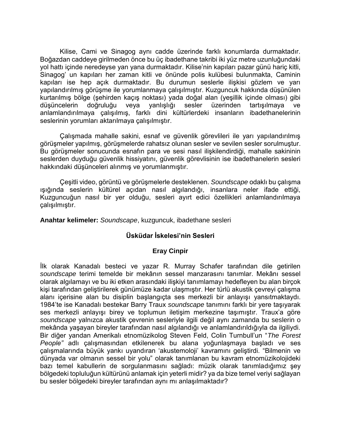Kilise, Cami ve Sinagog aynı cadde üzerinde farklı konumlarda durmaktadır. Boğazdan caddeye girilmeden önce bu üç ibadethane takribi iki yüz metre uzunluğundaki yol hattı içinde neredeyse yan yana durmaktadır. Kilise'nin kapıları pazar günü hariç kitli, Sinagog' un kapıları her zaman kitli ve önünde polis kulübesi bulunmakta, Caminin kapıları ise hep açık durmaktadır. Bu durumun seslerle ilişkisi gözlem ve yarı yapılandırılmış görüşme ile yorumlanmaya çalışılmıştır. Kuzguncuk hakkında düşünülen kurtarılmış bölge (şehirden kaçış noktası) yada doğal alan (yeşillik içinde olması) gibi düşüncelerin doğruluğu veya yanlışlığı sesler üzerinden tartışılmaya ve anlamlandırılmaya çalışılmış, farklı dini kültürlerdeki insanların ibadethanelerinin seslerinin yorumları aktarılmaya çalışılmıştır.

Çalışmada mahalle sakini, esnaf ve güvenlik görevlileri ile yarı yapılandırılmış görüşmeler yapılmış, görüşmelerde rahatsız olunan sesler ve sevilen sesler sorulmuştur. Bu görüşmeler sonucunda esnafın para ve sesi nasıl ilişkilendirdiği, mahalle sakininin seslerden duyduğu güvenlik hissiyatını, güvenlik görevlisinin ise ibadethanelerin sesleri hakkındaki düşünceleri alınmış ve yorumlanmıştır.

Çeşitli video, görüntü ve görüşmelerle desteklenen. *Soundscape* odaklı bu çalışma ışığında seslerin kültürel açıdan nasıl algılandığı, insanlara neler ifade ettiği, Kuzguncuğun nasıl bir yer olduğu, sesleri ayırt edici özellikleri anlamlandırılmaya çalışılmıştır.

**Anahtar kelimeler:** *Soundscape*, kuzguncuk, ibadethane sesleri

# **Üsküdar İskelesi'nin Sesleri**

# **Eray Cinpir**

İlk olarak Kanadalı besteci ve yazar R. Murray Schafer tarafından dile getirilen *soundscape* terimi temelde bir mekânın sessel manzarasını tanımlar. Mekânı sessel olarak algılamayı ve bu iki etken arasındaki ilişkiyi tanımlamayı hedefleyen bu alan birçok kişi tarafından geliştirilerek günümüze kadar ulaşmıştır. Her türlü akustik çevreyi çalışma alanı içerisine alan bu disiplin başlangıçta ses merkezli bir anlayışı yansıtmaktaydı. 1984'te ise Kanadalı bestekar Barry Traux *soundscape* tanımını farklı bir yere taşıyarak ses merkezli anlayışı birey ve toplumun iletişim merkezine taşımıştır. Traux'a göre *soundscape* yalnızca akustik çevrenin sesleriyle ilgili değil aynı zamanda bu seslerin o mekânda yaşayan bireyler tarafından nasıl algılandığı ve anlamlandırıldığıyla da ilgiliydi. Bir diğer yandan Amerikalı etnomüzikolog Steven Feld, Colin Turnbull'un "*The Forest People"* adlı çalışmasından etkilenerek bu alana yoğunlaşmaya başladı ve ses çalışmalarında büyük yankı uyandıran 'akustemoloji' kavramını geliştirdi. "Bilmenin ve dünyada var olmanın sessel bir yolu" olarak tanımlanan bu kavram etnomüzikolojideki bazı temel kabullerin de sorgulanmasını sağladı: müzik olarak tanımladığımız şey bölgedeki topluluğun kültürünü anlamak için yeterli midir? ya da bize temel veriyi sağlayan bu sesler bölgedeki bireyler tarafından aynı mı anlaşılmaktadır?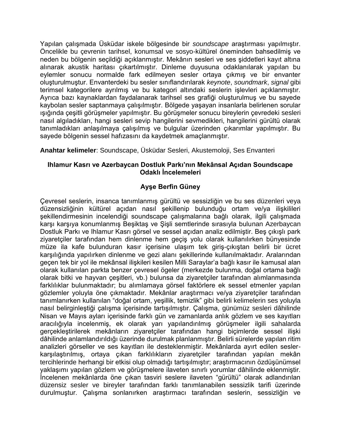Yapılan çalışmada Üsküdar iskele bölgesinde bir *soundscape* araştırması yapılmıştır. Öncelikle bu çevrenin tarihsel, konumsal ve sosyo-kültürel öneminden bahsedilmiş ve neden bu bölgenin seçildiği açıklanmıştır. Mekânın sesleri ve ses şiddetleri kayıt altına alınarak akustik haritası çıkartılmıştır. Dinleme duyusuna odaklanılarak yapılan bu eylemler sonucu normalde fark edilmeyen sesler ortaya çıkmış ve bir envanter oluşturulmuştur. Envanterdeki bu sesler sınıflandırılarak *keynote*, *soundmark*, *signal* gibi terimsel kategorilere ayrılmış ve bu kategori altındaki seslerin işlevleri açıklanmıştır. Ayrıca bazı kaynaklardan faydalanarak tarihsel ses grafiği oluşturulmuş ve bu sayede kaybolan sesler saptanmaya çalışılmıştır. Bölgede yaşayan insanlarla belirlenen sorular ışığında çeşitli görüşmeler yapılmıştır. Bu görüşmeler sonucu bireylerin çevredeki sesleri nasıl algıladıkları, hangi sesleri sevip hangilerini sevmedikleri, hangilerini gürültü olarak tanımladıkları anlaşılmaya çalışılmış ve bulgular üzerinden çıkarımlar yapılmıştır. Bu sayede bölgenin sessel hafızasını da kaydetmek amaçlanmıştır.

# **Anahtar kelimeler**: Soundscape, Üsküdar Sesleri, Akustemoloji, Ses Envanteri

# **Ihlamur Kasrı ve Azerbaycan Dostluk Parkı'nın Mekânsal Açıdan Soundscape Odaklı İncelemeleri**

# **Ayşe Berfin Güney**

Çevresel seslerin, insanca tanımlanmış gürültü ve sessizliğin ve bu ses düzenleri veya düzensizliğinin kültürel açıdan nasıl şekillenip bulunduğu ortam ve/ya ilişkilileri şekillendirmesinin incelendiği soundscape çalışmalarına bağlı olarak, ilgili çalışmada karşı karşıya konumlanmış Beşiktaş ve Şişli semtlerinde sırasıyla bulunan Azerbaycan Dostluk Parkı ve Ihlamur Kasrı görsel ve sessel açıdan analiz edilmiştir. Beş çıkışlı park ziyaretçiler tarafından hem dinlenme hem geçiş yolu olarak kullanılırken bünyesinde müze ila kafe bulunduran kasır içerisine ulaşım tek giriş-çıkıştan belirli bir ücret karşılığında yapılırken dinlenme ve gezi alanı şekillerinde kullanılmaktadır. Aralarından geçen tek bir yol ile mekânsal ilişkileri kesilen Milli Saraylar'a bağlı kasır ile kamusal alan olarak kullanılan parkta benzer çevresel ögeler (merkezde bulunma, doğal ortama bağlı olarak bitki ve hayvan çeşitleri, vb.) bulunsa da ziyaretçiler tarafından alımlanmasında farklılıklar bulunmaktadır; bu alımlamaya görsel faktörlere ek sessel etmenler yapılan gözlemler yoluyla öne çıkmaktadır. Mekânlar araştırmacı ve/ya ziyaretçiler tarafından tanımlanırken kullanılan "doğal ortam, yeşillik, temizlik" gibi belirli kelimelerin ses yoluyla nasıl belirginleştiği çalışma içerisinde tartışılmıştır. Çalışma, günümüz sesleri dâhilinde Nisan ve Mayıs ayları içerisinde farklı gün ve zamanlarda anlık gözlem ve ses kayıtları aracılığıyla incelenmiş, ek olarak yarı yapılandırılmış görüşmeler ilgili sahalarda gerçekleştirilerek mekânların ziyaretçiler tarafından hangi biçimlerde sessel ilişki dâhilinde anlamlandırıldığı üzerinde durulmak planlanmıştır. Belirli sürelerde yapılan ritim analizleri görseller ve ses kayıtları ile desteklenmiştir. Mekânlarda ayırt edilen seslerkarşılaştırılmış, ortaya çıkan farklılıkların ziyaretçiler tarafından yapılan mekân tercihlerinde herhangi bir etkisi olup olmadığı tartışılmıştır; araştırmacının özdüşünümsel yaklaşımı yapılan gözlem ve görüşmelere ilaveten sınırlı yorumlar dâhilinde eklenmiştir. İncelenen mekânlarda öne çıkan tasviri seslere ilaveten "gürültü" olarak adlandırılan düzensiz sesler ve bireyler tarafından farklı tanımlanabilen sessizlik tarifi üzerinde durulmuştur. Çalışma sonlanırken araştırmacı tarafından seslerin, sessizliğin ve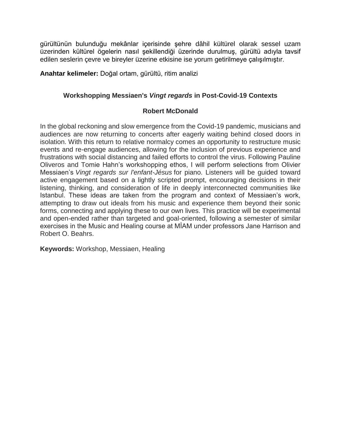gürültünün bulunduğu mekânlar içerisinde şehre dâhil kültürel olarak sessel uzam üzerinden kültürel ögelerin nasıl şekillendiği üzerinde durulmuş, gürültü adıyla tavsif edilen seslerin çevre ve bireyler üzerine etkisine ise yorum getirilmeye çalışılmıştır.

**Anahtar kelimeler:** Doğal ortam, gürültü, ritim analizi

# **Workshopping Messiaen's** *Vingt regards* **in Post-Covid-19 Contexts**

#### **Robert McDonald**

In the global reckoning and slow emergence from the Covid-19 pandemic, musicians and audiences are now returning to concerts after eagerly waiting behind closed doors in isolation. With this return to relative normalcy comes an opportunity to restructure music events and re-engage audiences, allowing for the inclusion of previous experience and frustrations with social distancing and failed efforts to control the virus. Following Pauline Oliveros and Tomie Hahn's workshopping ethos, I will perform selections from Olivier Messiaen's *Vingt regards sur l'enfant-Jésus* for piano. Listeners will be guided toward active engagement based on a lightly scripted prompt, encouraging decisions in their listening, thinking, and consideration of life in deeply interconnected communities like Istanbul. These ideas are taken from the program and context of Messiaen's work, attempting to draw out ideals from his music and experience them beyond their sonic forms, connecting and applying these to our own lives. This practice will be experimental and open-ended rather than targeted and goal-oriented, following a semester of similar exercises in the Music and Healing course at MİAM under professors Jane Harrison and Robert O. Beahrs.

**Keywords:** Workshop, Messiaen, Healing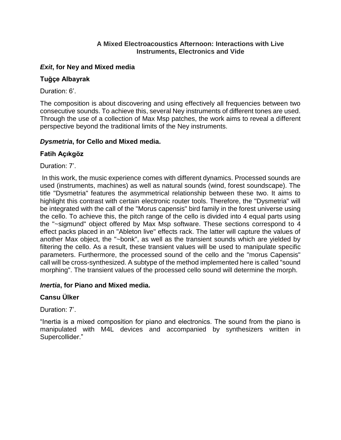# **A Mixed Electroacoustics Afternoon: Interactions with Live Instruments, Electronics and Vide**

# *Exit***, for Ney and Mixed media**

# **Tuğçe Albayrak**

Duration: 6'

The composition is about discovering and using effectively all frequencies between two consecutive sounds. To achieve this, several Ney instruments of different tones are used. Through the use of a collection of Max Msp patches, the work aims to reveal a different perspective beyond the traditional limits of the Ney instruments.

# *Dysmetria***, for Cello and Mixed media.**

# **Fatih Açıkgöz**

Duration: 7'.

In this work, the music experience comes with different dynamics. Processed sounds are used (instruments, machines) as well as natural sounds (wind, forest soundscape). The title "Dysmetria" features the asymmetrical relationship between these two. It aims to highlight this contrast with certain electronic router tools. Therefore, the "Dysmetria" will be integrated with the call of the "Morus capensis" bird family in the forest universe using the cello. To achieve this, the pitch range of the cello is divided into 4 equal parts using the "~sigmund" object offered by Max Msp software. These sections correspond to 4 effect packs placed in an "Ableton live" effects rack. The latter will capture the values of another Max object, the "~bonk", as well as the transient sounds which are yielded by filtering the cello. As a result, these transient values will be used to manipulate specific parameters. Furthermore, the processed sound of the cello and the "morus Capensis" call will be cross-synthesized. A subtype of the method implemented here is called "sound morphing". The transient values of the processed cello sound will determine the morph.

# *Inertia***, for Piano and Mixed media.**

# **Cansu Ülker**

Duration: 7'.

"Inertia is a mixed composition for piano and electronics. The sound from the piano is manipulated with M4L devices and accompanied by synthesizers written in Supercollider."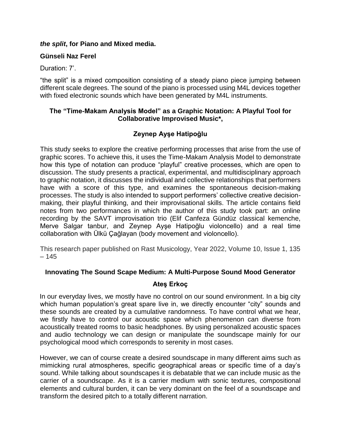# *the split***, for Piano and Mixed media.**

# **Günseli Naz Ferel**

Duration: 7'.

"the split" is a mixed composition consisting of a steady piano piece jumping between different scale degrees. The sound of the piano is processed using M4L devices together with fixed electronic sounds which have been generated by M4L instruments.

# **The "Time-Makam Analysis Model" as a Graphic Notation: A Playful Tool for Collaborative Improvised Music\*,**

# **Zeynep Ayşe Hatipoğlu**

This study seeks to explore the creative performing processes that arise from the use of graphic scores. To achieve this, it uses the Time-Makam Analysis Model to demonstrate how this type of notation can produce "playful" creative processes, which are open to discussion. The study presents a practical, experimental, and multidisciplinary approach to graphic notation, it discusses the individual and collective relationships that performers have with a score of this type, and examines the spontaneous decision-making processes. The study is also intended to support performers' collective creative decisionmaking, their playful thinking, and their improvisational skills. The article contains field notes from two performances in which the author of this study took part: an online recording by the SAVT improvisation trio (Elif Canfeza Gündüz classical kemenche, Merve Salgar tanbur, and Zeynep Ayşe Hatipoğlu violoncello) and a real time collaboration with Ülkü Çağlayan (body movement and violoncello).

This research paper published on Rast Musicology, Year 2022, Volume 10, Issue 1, 135 – 145

# **Innovating The Sound Scape Medium: A Multi-Purpose Sound Mood Generator**

# **Ateş Erkoç**

In our everyday lives, we mostly have no control on our sound environment. In a big city which human population's great spare live in, we directly encounter "city" sounds and these sounds are created by a cumulative randomness. To have control what we hear, we firstly have to control our acoustic space which phenomenon can diverse from acoustically treated rooms to basic headphones. By using personalized acoustic spaces and audio technology we can design or manipulate the soundscape mainly for our psychological mood which corresponds to serenity in most cases.

However, we can of course create a desired soundscape in many different aims such as mimicking rural atmospheres, specific geographical areas or specific time of a day's sound. While talking about soundscapes it is debatable that we can include music as the carrier of a soundscape. As it is a carrier medium with sonic textures, compositional elements and cultural burden, it can be very dominant on the feel of a soundscape and transform the desired pitch to a totally different narration.